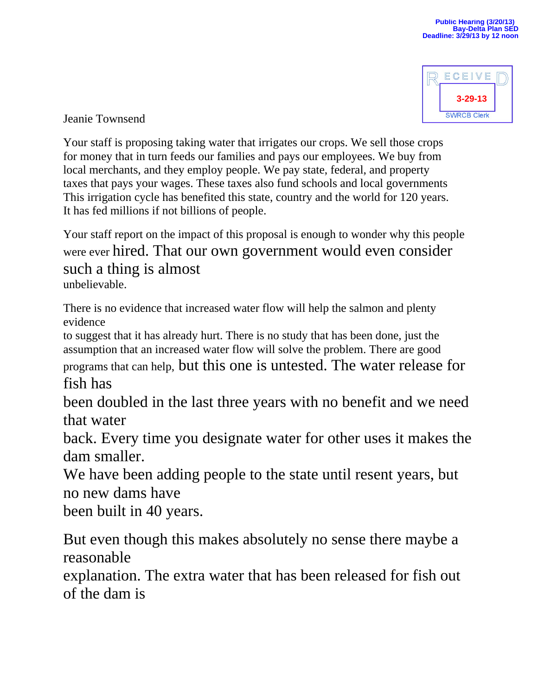

Jeanie Townsend

Your staff is proposing taking water that irrigates our crops. We sell those crops for money that in turn feeds our families and pays our employees. We buy from local merchants, and they employ people. We pay state, federal, and property taxes that pays your wages. These taxes also fund schools and local governments This irrigation cycle has benefited this state, country and the world for 120 years. It has fed millions if not billions of people.

Your staff report on the impact of this proposal is enough to wonder why this people were ever hired. That our own government would even consider such a thing is almost unbelievable.

There is no evidence that increased water flow will help the salmon and plenty evidence

to suggest that it has already hurt. There is no study that has been done, just the assumption that an increased water flow will solve the problem. There are good programs that can help, but this one is untested. The water release for fish has

been doubled in the last three years with no benefit and we need that water

back. Every time you designate water for other uses it makes the dam smaller.

We have been adding people to the state until resent years, but no new dams have

been built in 40 years.

But even though this makes absolutely no sense there maybe a reasonable

explanation. The extra water that has been released for fish out of the dam is